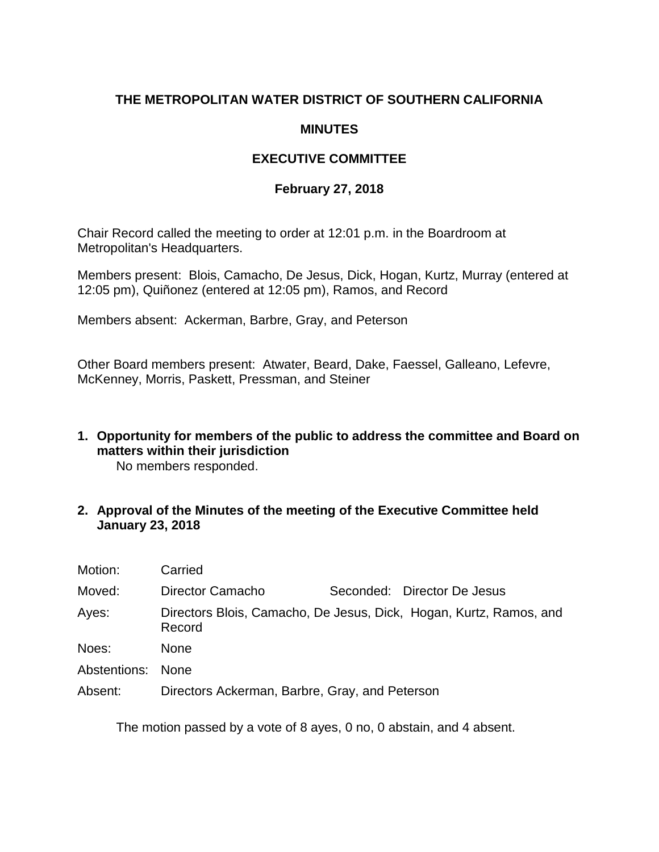## **THE METROPOLITAN WATER DISTRICT OF SOUTHERN CALIFORNIA**

### **MINUTES**

### **EXECUTIVE COMMITTEE**

#### **February 27, 2018**

Chair Record called the meeting to order at 12:01 p.m. in the Boardroom at Metropolitan's Headquarters.

Members present: Blois, Camacho, De Jesus, Dick, Hogan, Kurtz, Murray (entered at 12:05 pm), Quiñonez (entered at 12:05 pm), Ramos, and Record

Members absent: Ackerman, Barbre, Gray, and Peterson

Other Board members present: Atwater, Beard, Dake, Faessel, Galleano, Lefevre, McKenney, Morris, Paskett, Pressman, and Steiner

**1. Opportunity for members of the public to address the committee and Board on matters within their jurisdiction** No members responded.

### **2. Approval of the Minutes of the meeting of the Executive Committee held January 23, 2018**

| Motion:      | Carried                                                                      |
|--------------|------------------------------------------------------------------------------|
| Moved:       | Director Camacho<br>Seconded: Director De Jesus                              |
| Ayes:        | Directors Blois, Camacho, De Jesus, Dick, Hogan, Kurtz, Ramos, and<br>Record |
| Noes:        | <b>None</b>                                                                  |
| Abstentions: | <b>None</b>                                                                  |
| Absent:      | Directors Ackerman, Barbre, Gray, and Peterson                               |

The motion passed by a vote of 8 ayes, 0 no, 0 abstain, and 4 absent.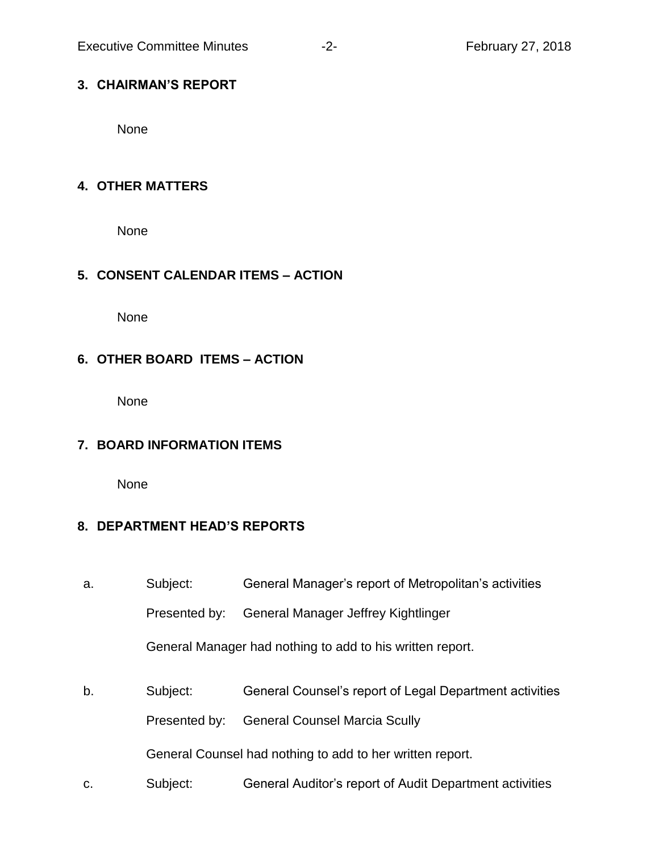### **3. CHAIRMAN'S REPORT**

None

## **4. OTHER MATTERS**

None

# **5. CONSENT CALENDAR ITEMS – ACTION**

None

# **6. OTHER BOARD ITEMS – ACTION**

None

## **7. BOARD INFORMATION ITEMS**

None

## **8. DEPARTMENT HEAD'S REPORTS**

a. Subject: General Manager's report of Metropolitan's activities

Presented by: General Manager Jeffrey Kightlinger

General Manager had nothing to add to his written report.

b. Subject: General Counsel's report of Legal Department activities Presented by: General Counsel Marcia Scully General Counsel had nothing to add to her written report. c. Subject: General Auditor's report of Audit Department activities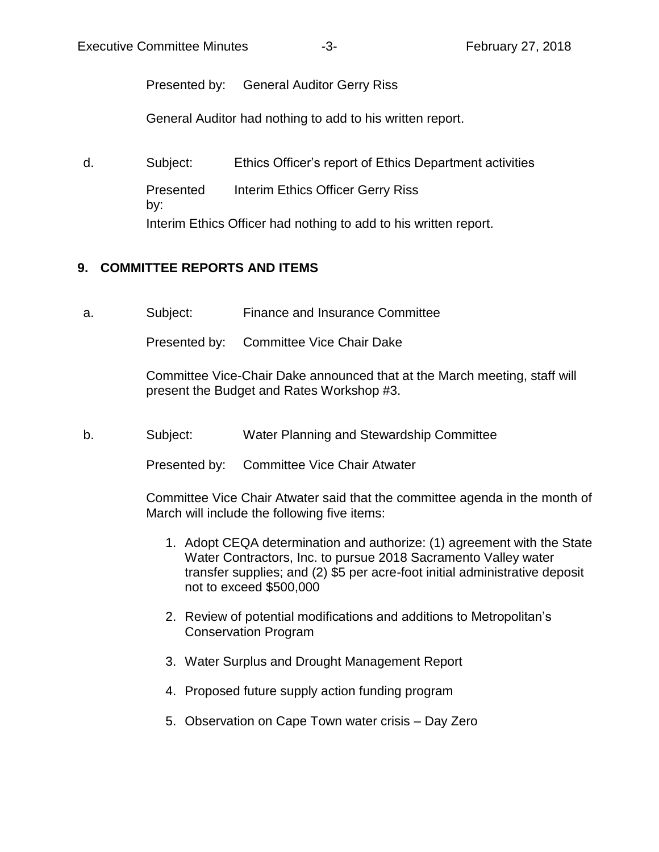Presented by: General Auditor Gerry Riss

General Auditor had nothing to add to his written report.

d. Subject: Ethics Officer's report of Ethics Department activities

Presented Interim Ethics Officer Gerry Riss

by:

Interim Ethics Officer had nothing to add to his written report.

# **9. COMMITTEE REPORTS AND ITEMS**

a. Subject: Finance and Insurance Committee

Presented by: Committee Vice Chair Dake

Committee Vice-Chair Dake announced that at the March meeting, staff will present the Budget and Rates Workshop #3.

b. Subject: Water Planning and Stewardship Committee

Presented by: Committee Vice Chair Atwater

Committee Vice Chair Atwater said that the committee agenda in the month of March will include the following five items:

- 1. Adopt CEQA determination and authorize: (1) agreement with the State Water Contractors, Inc. to pursue 2018 Sacramento Valley water transfer supplies; and (2) \$5 per acre-foot initial administrative deposit not to exceed \$500,000
- 2. Review of potential modifications and additions to Metropolitan's Conservation Program
- 3. Water Surplus and Drought Management Report
- 4. Proposed future supply action funding program
- 5. Observation on Cape Town water crisis Day Zero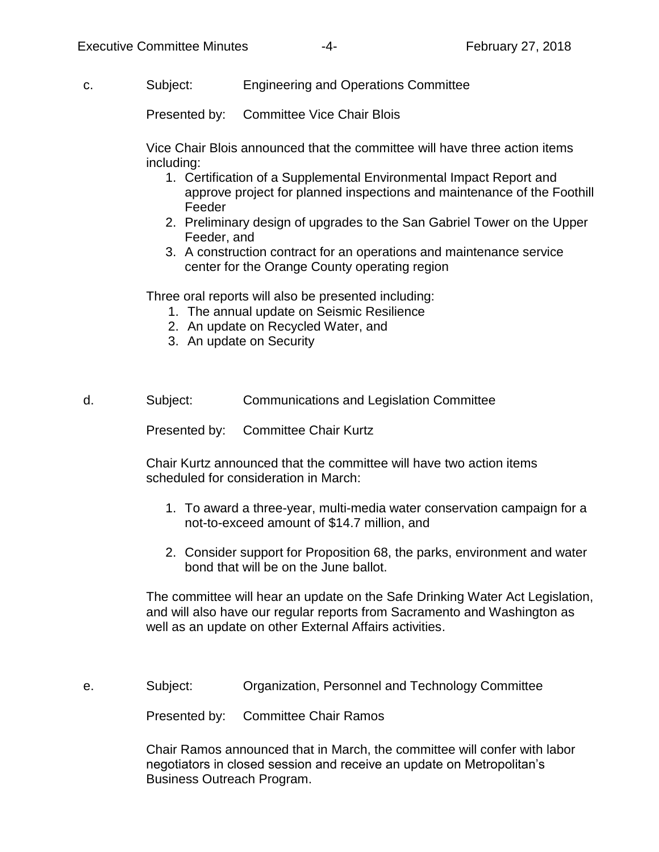### c. Subject: Engineering and Operations Committee

Presented by: Committee Vice Chair Blois

Vice Chair Blois announced that the committee will have three action items including:

- 1. Certification of a Supplemental Environmental Impact Report and approve project for planned inspections and maintenance of the Foothill Feeder
- 2. Preliminary design of upgrades to the San Gabriel Tower on the Upper Feeder, and
- 3. A construction contract for an operations and maintenance service center for the Orange County operating region

Three oral reports will also be presented including:

- 1. The annual update on Seismic Resilience
- 2. An update on Recycled Water, and
- 3. An update on Security

d. Subject: Communications and Legislation Committee

Presented by: Committee Chair Kurtz

Chair Kurtz announced that the committee will have two action items scheduled for consideration in March:

- 1. To award a three-year, multi-media water conservation campaign for a not-to-exceed amount of \$14.7 million, and
- 2. Consider support for Proposition 68, the parks, environment and water bond that will be on the June ballot.

The committee will hear an update on the Safe Drinking Water Act Legislation, and will also have our regular reports from Sacramento and Washington as well as an update on other External Affairs activities.

e. Subject: Organization, Personnel and Technology Committee

Presented by: Committee Chair Ramos

Chair Ramos announced that in March, the committee will confer with labor negotiators in closed session and receive an update on Metropolitan's Business Outreach Program.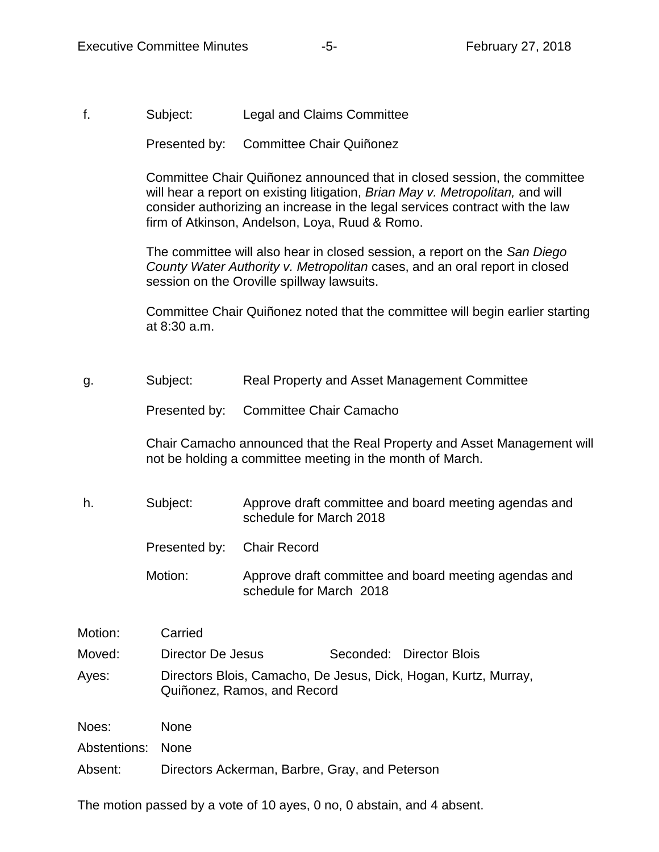f. Subject: Legal and Claims Committee

Presented by: Committee Chair Quiñonez

Committee Chair Quiñonez announced that in closed session, the committee will hear a report on existing litigation, *Brian May v. Metropolitan,* and will consider authorizing an increase in the legal services contract with the law firm of Atkinson, Andelson, Loya, Ruud & Romo.

The committee will also hear in closed session, a report on the *San Diego County Water Authority v. Metropolitan* cases, and an oral report in closed session on the Oroville spillway lawsuits.

Committee Chair Quiñonez noted that the committee will begin earlier starting at 8:30 a.m.

g. Subject: Real Property and Asset Management Committee

Presented by: Committee Chair Camacho

Chair Camacho announced that the Real Property and Asset Management will not be holding a committee meeting in the month of March.

h. Subject: Approve draft committee and board meeting agendas and schedule for March 2018

Presented by: Chair Record

Motion: Approve draft committee and board meeting agendas and schedule for March 2018

Motion: Carried

Moved: Director De Jesus Seconded: Director Blois

Ayes: Directors Blois, Camacho, De Jesus, Dick, Hogan, Kurtz, Murray, Quiñonez, Ramos, and Record

| Noes:             | <b>None</b>                                    |
|-------------------|------------------------------------------------|
| Abstentions: None |                                                |
| Absent:           | Directors Ackerman, Barbre, Gray, and Peterson |

The motion passed by a vote of 10 ayes, 0 no, 0 abstain, and 4 absent.